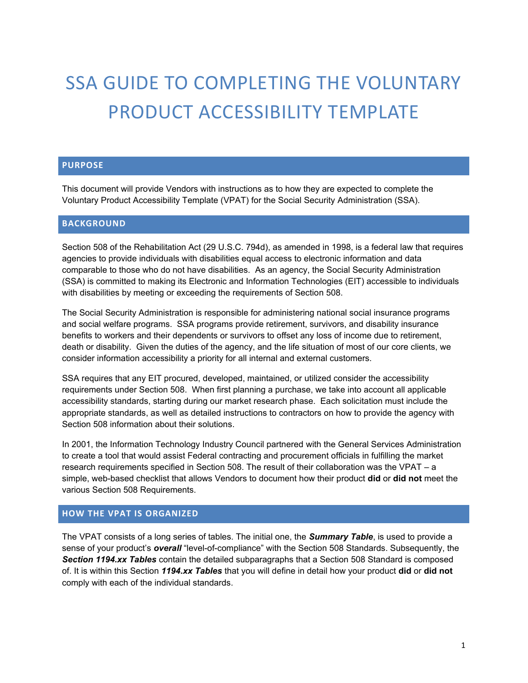# SSA GUIDE TO COMPLETING THE VOLUNTARY PRODUCT ACCESSIBILITY TEMPLATE

#### **PURPOSE**

This document will provide Vendors with instructions as to how they are expected to complete the Voluntary Product Accessibility Template (VPAT) for the Social Security Administration (SSA).

## **BACKGROUND**

Section 508 of the Rehabilitation Act (29 U.S.C. 794d), as amended in 1998, is a federal law that requires agencies to provide individuals with disabilities equal access to electronic information and data comparable to those who do not have disabilities. As an agency, the Social Security Administration (SSA) is committed to making its Electronic and Information Technologies (EIT) accessible to individuals with disabilities by meeting or exceeding the requirements of Section 508.

The Social Security Administration is responsible for administering national social insurance programs and social welfare programs. SSA programs provide retirement, survivors, and disability insurance benefits to workers and their dependents or survivors to offset any loss of income due to retirement, death or disability. Given the duties of the agency, and the life situation of most of our core clients, we consider information accessibility a priority for all internal and external customers.

SSA requires that any EIT procured, developed, maintained, or utilized consider the accessibility requirements under Section 508. When first planning a purchase, we take into account all applicable accessibility standards, starting during our market research phase. Each solicitation must include the appropriate standards, as well as detailed instructions to contractors on how to provide the agency with Section 508 information about their solutions.

In 2001, the Information Technology Industry Council partnered with the General Services Administration to create a tool that would assist Federal contracting and procurement officials in fulfilling the market research requirements specified in Section 508. The result of their collaboration was the VPAT – a simple, web-based checklist that allows Vendors to document how their product **did** or **did not** meet the various Section 508 Requirements.

## **HOW THE VPAT IS ORGANIZED**

The VPAT consists of a long series of tables. The initial one, the *Summary Table*, is used to provide a sense of your product's *overall* "level-of-compliance" with the Section 508 Standards. Subsequently, the *Section 1194.xx Tables* contain the detailed subparagraphs that a Section 508 Standard is composed of. It is within this Section *1194.xx Tables* that you will define in detail how your product **did** or **did not**  comply with each of the individual standards.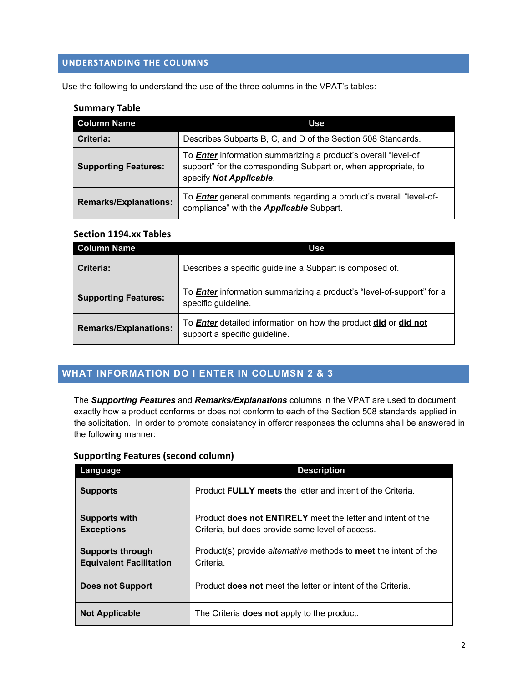# **UNDERSTANDING THE COLUMNS**

Use the following to understand the use of the three columns in the VPAT's tables:

## **Summary Table**

| <b>Column Name</b>           | Use                                                                                                                                                                 |
|------------------------------|---------------------------------------------------------------------------------------------------------------------------------------------------------------------|
| Criteria:                    | Describes Subparts B, C, and D of the Section 508 Standards.                                                                                                        |
| <b>Supporting Features:</b>  | To <b>Enter</b> information summarizing a product's overall "level-of<br>support" for the corresponding Subpart or, when appropriate, to<br>specify Not Applicable. |
| <b>Remarks/Explanations:</b> | To <b>Enter</b> general comments regarding a product's overall "level-of-<br>compliance" with the <b>Applicable</b> Subpart.                                        |

## **Section 1194.xx Tables**

| <b>Column Name</b>           | Use                                                                                                     |
|------------------------------|---------------------------------------------------------------------------------------------------------|
| Criteria:                    | Describes a specific guideline a Subpart is composed of.                                                |
| <b>Supporting Features:</b>  | To <b>Enter</b> information summarizing a product's "level-of-support" for a<br>specific guideline.     |
| <b>Remarks/Explanations:</b> | To <b>Enter</b> detailed information on how the product did or did not<br>support a specific guideline. |

# **WHAT INFORMATION DO I ENTER IN COLUMSN 2 & 3**

The *Supporting Features* and *Remarks/Explanations* columns in the VPAT are used to document exactly how a product conforms or does not conform to each of the Section 508 standards applied in the solicitation. In order to promote consistency in offeror responses the columns shall be answered in the following manner:

# **Supporting Features (second column)**

| Language                                                  | <b>Description</b>                                                                                              |
|-----------------------------------------------------------|-----------------------------------------------------------------------------------------------------------------|
| <b>Supports</b>                                           | Product <b>FULLY</b> meets the letter and intent of the Criteria.                                               |
| <b>Supports with</b><br><b>Exceptions</b>                 | Product does not ENTIRELY meet the letter and intent of the<br>Criteria, but does provide some level of access. |
| <b>Supports through</b><br><b>Equivalent Facilitation</b> | Product(s) provide <i>alternative</i> methods to <b>meet</b> the intent of the<br>Criteria.                     |
| <b>Does not Support</b>                                   | Product <b>does not</b> meet the letter or intent of the Criteria.                                              |
| <b>Not Applicable</b>                                     | The Criteria <b>does not</b> apply to the product.                                                              |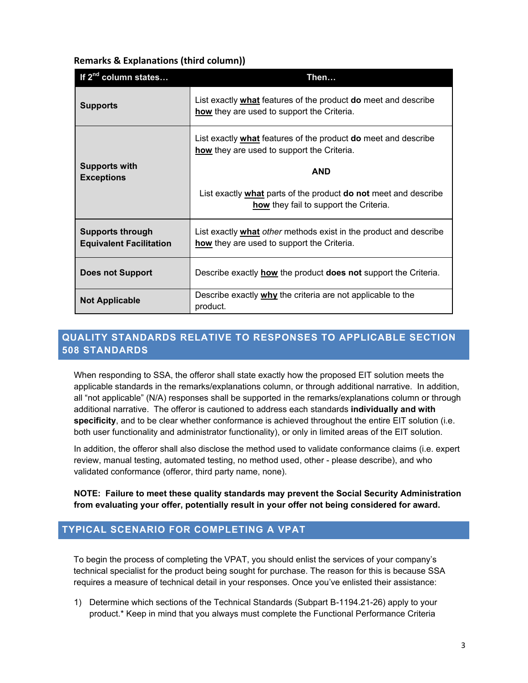| <b>Remarks &amp; Explanations (third column))</b> |  |
|---------------------------------------------------|--|
|---------------------------------------------------|--|

| If 2 <sup>nd</sup> column states                          | Then                                                                                                                |
|-----------------------------------------------------------|---------------------------------------------------------------------------------------------------------------------|
| <b>Supports</b>                                           | List exactly what features of the product <b>do</b> meet and describe<br>how they are used to support the Criteria. |
| <b>Supports with</b><br><b>Exceptions</b>                 | List exactly what features of the product do meet and describe<br>how they are used to support the Criteria.        |
|                                                           | <b>AND</b>                                                                                                          |
|                                                           | List exactly what parts of the product do not meet and describe<br>how they fail to support the Criteria.           |
| <b>Supports through</b><br><b>Equivalent Facilitation</b> | List exactly what other methods exist in the product and describe<br>how they are used to support the Criteria.     |
| <b>Does not Support</b>                                   | Describe exactly <b>how</b> the product <b>does not</b> support the Criteria.                                       |
| <b>Not Applicable</b>                                     | Describe exactly why the criteria are not applicable to the<br>product.                                             |

# **QUALITY STANDARDS RELATIVE TO RESPONSES TO APPLICABLE SECTION 508 STANDARDS**

When responding to SSA, the offeror shall state exactly how the proposed EIT solution meets the applicable standards in the remarks/explanations column, or through additional narrative. In addition, all "not applicable" (N/A) responses shall be supported in the remarks/explanations column or through additional narrative. The offeror is cautioned to address each standards **individually and with specificity**, and to be clear whether conformance is achieved throughout the entire EIT solution (i.e. both user functionality and administrator functionality), or only in limited areas of the EIT solution.

In addition, the offeror shall also disclose the method used to validate conformance claims (i.e. expert review, manual testing, automated testing, no method used, other - please describe), and who validated conformance (offeror, third party name, none).

**NOTE: Failure to meet these quality standards may prevent the Social Security Administration from evaluating your offer, potentially result in your offer not being considered for award.**

## **TYPICAL SCENARIO FOR COMPLETING A VPAT**

To begin the process of completing the VPAT, you should enlist the services of your company's technical specialist for the product being sought for purchase. The reason for this is because SSA requires a measure of technical detail in your responses. Once you've enlisted their assistance:

1) Determine which sections of the Technical Standards (Subpart B-1194.21-26) apply to your product.\* Keep in mind that you always must complete the Functional Performance Criteria